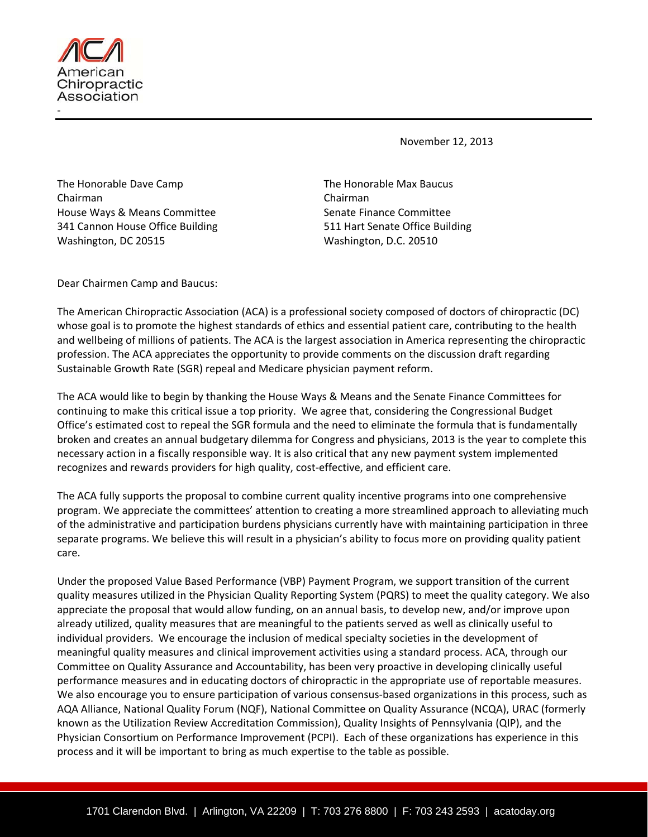

November 12, 2013

The Honorable Dave Camp **The Honorable Max Baucus** Chairman Chairman House Ways & Means Committee Senate Finance Committee 341 Cannon House Office Building 511 Hart Senate Office Building Washington, DC 20515 Washington, D.C. 20510

Dear Chairmen Camp and Baucus:

The American Chiropractic Association (ACA) is a professional society composed of doctors of chiropractic (DC) whose goal is to promote the highest standards of ethics and essential patient care, contributing to the health and wellbeing of millions of patients. The ACA is the largest association in America representing the chiropractic profession. The ACA appreciates the opportunity to provide comments on the discussion draft regarding Sustainable Growth Rate (SGR) repeal and Medicare physician payment reform.

The ACA would like to begin by thanking the House Ways & Means and the Senate Finance Committees for continuing to make this critical issue a top priority. We agree that, considering the Congressional Budget Office's estimated cost to repeal the SGR formula and the need to eliminate the formula that is fundamentally broken and creates an annual budgetary dilemma for Congress and physicians, 2013 is the year to complete this necessary action in a fiscally responsible way. It is also critical that any new payment system implemented recognizes and rewards providers for high quality, cost‐effective, and efficient care.

The ACA fully supports the proposal to combine current quality incentive programs into one comprehensive program. We appreciate the committees' attention to creating a more streamlined approach to alleviating much of the administrative and participation burdens physicians currently have with maintaining participation in three separate programs. We believe this will result in a physician's ability to focus more on providing quality patient care.

Under the proposed Value Based Performance (VBP) Payment Program, we support transition of the current quality measures utilized in the Physician Quality Reporting System (PQRS) to meet the quality category. We also appreciate the proposal that would allow funding, on an annual basis, to develop new, and/or improve upon already utilized, quality measures that are meaningful to the patients served as well as clinically useful to individual providers. We encourage the inclusion of medical specialty societies in the development of meaningful quality measures and clinical improvement activities using a standard process. ACA, through our Committee on Quality Assurance and Accountability, has been very proactive in developing clinically useful performance measures and in educating doctors of chiropractic in the appropriate use of reportable measures. We also encourage you to ensure participation of various consensus-based organizations in this process, such as AQA Alliance, National Quality Forum (NQF), National Committee on Quality Assurance (NCQA), URAC (formerly known as the Utilization Review Accreditation Commission), Quality Insights of Pennsylvania (QIP), and the Physician Consortium on Performance Improvement (PCPI). Each of these organizations has experience in this process and it will be important to bring as much expertise to the table as possible.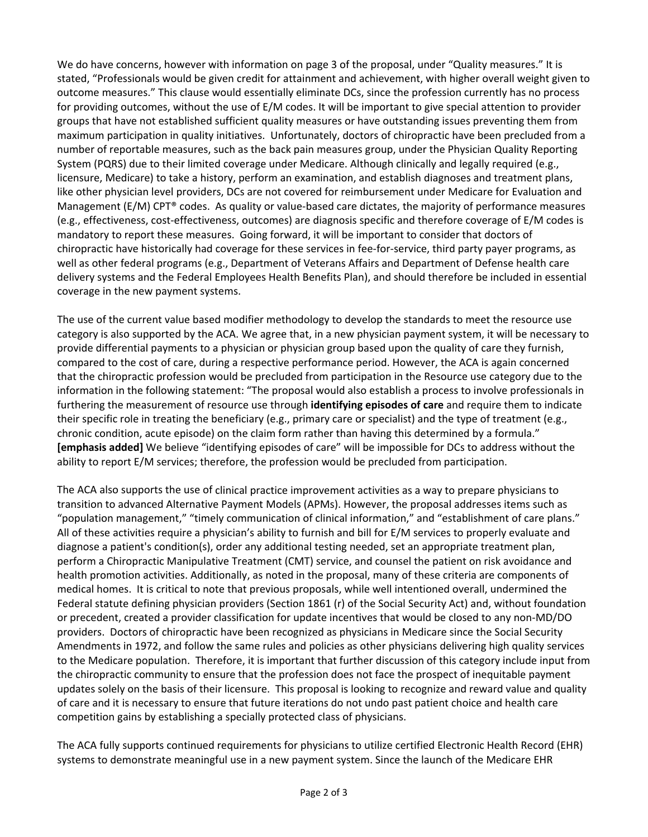We do have concerns, however with information on page 3 of the proposal, under "Quality measures." It is stated, "Professionals would be given credit for attainment and achievement, with higher overall weight given to outcome measures." This clause would essentially eliminate DCs, since the profession currently has no process for providing outcomes, without the use of E/M codes. It will be important to give special attention to provider groups that have not established sufficient quality measures or have outstanding issues preventing them from maximum participation in quality initiatives. Unfortunately, doctors of chiropractic have been precluded from a number of reportable measures, such as the back pain measures group, under the Physician Quality Reporting System (PQRS) due to their limited coverage under Medicare. Although clinically and legally required (e.g., licensure, Medicare) to take a history, perform an examination, and establish diagnoses and treatment plans, like other physician level providers, DCs are not covered for reimbursement under Medicare for Evaluation and Management (E/M) CPT® codes. As quality or value-based care dictates, the majority of performance measures (e.g., effectiveness, cost‐effectiveness, outcomes) are diagnosis specific and therefore coverage of E/M codes is mandatory to report these measures. Going forward, it will be important to consider that doctors of chiropractic have historically had coverage for these services in fee‐for‐service, third party payer programs, as well as other federal programs (e.g., Department of Veterans Affairs and Department of Defense health care delivery systems and the Federal Employees Health Benefits Plan), and should therefore be included in essential coverage in the new payment systems.

The use of the current value based modifier methodology to develop the standards to meet the resource use category is also supported by the ACA. We agree that, in a new physician payment system, it will be necessary to provide differential payments to a physician or physician group based upon the quality of care they furnish, compared to the cost of care, during a respective performance period. However, the ACA is again concerned that the chiropractic profession would be precluded from participation in the Resource use category due to the information in the following statement: "The proposal would also establish a process to involve professionals in furthering the measurement of resource use through **identifying episodes of care** and require them to indicate their specific role in treating the beneficiary (e.g., primary care or specialist) and the type of treatment (e.g., chronic condition, acute episode) on the claim form rather than having this determined by a formula." **[emphasis added]** We believe "identifying episodes of care" will be impossible for DCs to address without the ability to report E/M services; therefore, the profession would be precluded from participation.

The ACA also supports the use of clinical practice improvement activities as a way to prepare physicians to transition to advanced Alternative Payment Models (APMs). However, the proposal addresses items such as "population management," "timely communication of clinical information," and "establishment of care plans." All of these activities require a physician's ability to furnish and bill for E/M services to properly evaluate and diagnose a patient's condition(s), order any additional testing needed, set an appropriate treatment plan, perform a Chiropractic Manipulative Treatment (CMT) service, and counsel the patient on risk avoidance and health promotion activities. Additionally, as noted in the proposal, many of these criteria are components of medical homes. It is critical to note that previous proposals, while well intentioned overall, undermined the Federal statute defining physician providers (Section 1861 (r) of the Social Security Act) and, without foundation or precedent, created a provider classification for update incentives that would be closed to any non‐MD/DO providers. Doctors of chiropractic have been recognized as physicians in Medicare since the Social Security Amendments in 1972, and follow the same rules and policies as other physicians delivering high quality services to the Medicare population. Therefore, it is important that further discussion of this category include input from the chiropractic community to ensure that the profession does not face the prospect of inequitable payment updates solely on the basis of their licensure. This proposal is looking to recognize and reward value and quality of care and it is necessary to ensure that future iterations do not undo past patient choice and health care competition gains by establishing a specially protected class of physicians.

The ACA fully supports continued requirements for physicians to utilize certified Electronic Health Record (EHR) systems to demonstrate meaningful use in a new payment system. Since the launch of the Medicare EHR